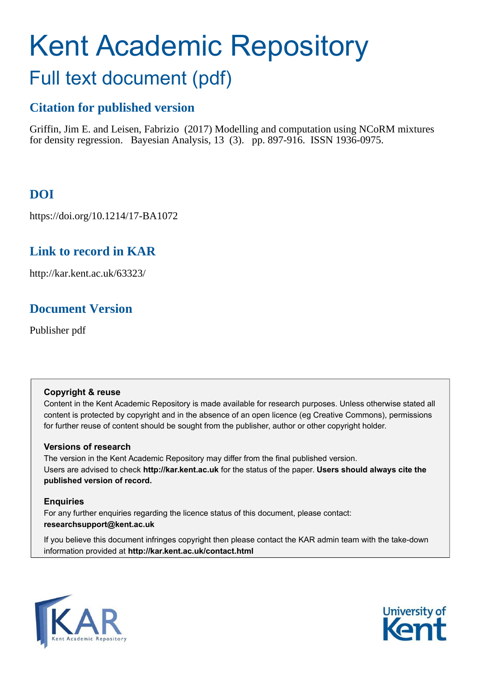# Kent Academic Repository Full text document (pdf)

# <span id="page-0-3"></span>**Citation for published version**

Griffin, Jim E. and Leisen, Fabrizio (2017) Modelling and computation using NCoRM mixtures for density regression. Bayesian Analysis, 13 (3). pp. 897-916. ISSN 1936-0975.

# **DOI**

https://doi.org/10.1214/17-BA1072

# **Link to record in KAR**

http://kar.kent.ac.uk/63323/

# **Document Version**

Publisher pdf

### <span id="page-0-2"></span>**Copyright & reuse**

Content in the Kent Academic Repository is made available for research purposes. Unless otherwise stated all content is protected by copyright and in the absence of an open licence (eg Creative Commons), permissions for further reuse of content should be sought from the publisher, author or other copyright holder.

### **Versions of research**

The version in the Kent Academic Repository may differ from the final published version. Users are advised to check **http://kar.kent.ac.uk** for the status of the paper. **Users should always cite the published version of record.**

# **Enquiries**

For any further enquiries regarding the licence status of this document, please contact: **researchsupport@kent.ac.uk**

<span id="page-0-1"></span><span id="page-0-0"></span>If you believe this document infringes copyright then please contact the KAR admin team with the take-down information provided at **http://kar.kent.ac.uk/contact.html**



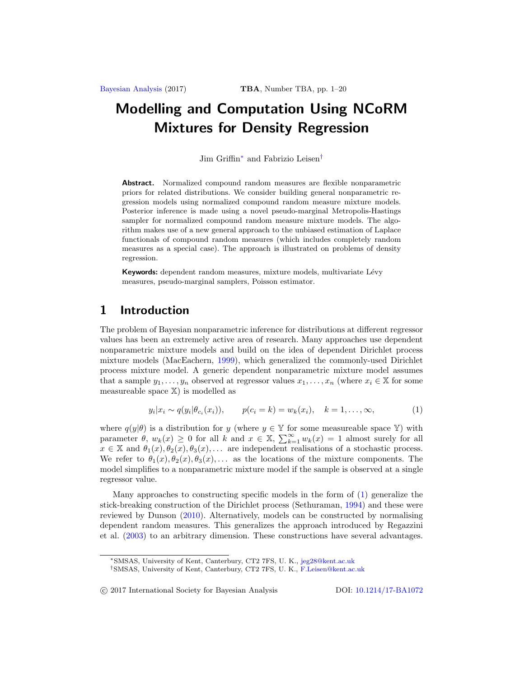# <span id="page-1-1"></span>Modelling and Computation Using NCoRM Mixtures for Density Regression

Jim Griffin[∗](#page-0-0) and Fabrizio Leisen[†](#page-0-1)

Abstract. Normalized compound random measures are flexible nonparametric priors for related distributions. We consider building general nonparametric regression models using normalized compound random measure mixture models. Posterior inference is made using a novel pseudo-marginal Metropolis-Hastings sampler for normalized compound random measure mixture models. The algorithm makes use of a new general approach to the unbiased estimation of Laplace functionals of compound random measures (which includes completely random measures as a special case). The approach is illustrated on problems of density regression.

Keywords: dependent random measures, mixture models, multivariate Lévy measures, pseudo-marginal samplers, Poisson estimator.

# 1 Introduction

The problem of Bayesian nonparametric inference for distributions at different regressor values has been an extremely active area of research. Many approaches use dependent nonparametric mixture models and build on the idea of dependent Dirichlet process mixture models (MacEachern, [1999](#page-19-0)), which generalized the commonly-used Dirichlet process mixture model. A generic dependent nonparametric mixture model assumes that a sample  $y_1, \ldots, y_n$  observed at regressor values  $x_1, \ldots, x_n$  (where  $x_i \in \mathbb{X}$  for some measureable space X) is modelled as

$$
y_i|x_i \sim q(y_i|\theta_{c_i}(x_i)), \qquad p(c_i = k) = w_k(x_i), \quad k = 1, \ldots, \infty,
$$
 (1)

where  $q(y|\theta)$  is a distribution for y (where  $y \in \mathbb{Y}$  for some measureable space Y) with parameter  $\theta$ ,  $w_k(x) \geq 0$  for all k and  $x \in \mathbb{X}$ ,  $\sum_{k=1}^{\infty} w_k(x) = 1$  almost surely for all  $x \in \mathbb{X}$  and  $\theta_1(x), \theta_2(x), \theta_3(x), \ldots$  are independent realisations of a stochastic process. We refer to  $\theta_1(x), \theta_2(x), \theta_3(x), \ldots$  as the locations of the mixture components. The model simplifies to a nonparametric mixture model if the sample is observed at a single regressor value.

Many approaches to constructing specific models in the form of [\(1\)](#page-0-2) generalize the stick-breaking construction of the Dirichlet process (Sethuraman, [1994](#page-19-1)) and these were reviewed by Dunson [\(2010\)](#page-17-0). Alternatively, models can be constructed by normalising dependent random measures. This generalizes the approach introduced by Regazzini et al. [\(2003](#page-19-2)) to an arbitrary dimension. These constructions have several advantages.

-c 2017 International Society for Bayesian Analysis DOI: [10.1214/17-BA1072](http://dx.doi.org/10.1214/17-BA1072)

<sup>∗</sup>SMSAS, University of Kent, Canterbury, CT2 7FS, U. K., [jeg28@kent.ac.uk](mailto:jeg28@kent.ac.uk)

<span id="page-1-0"></span><sup>†</sup>SMSAS, University of Kent, Canterbury, CT2 7FS, U. K., [F.Leisen@kent.ac.uk](mailto:F.Leisen@kent.ac.uk)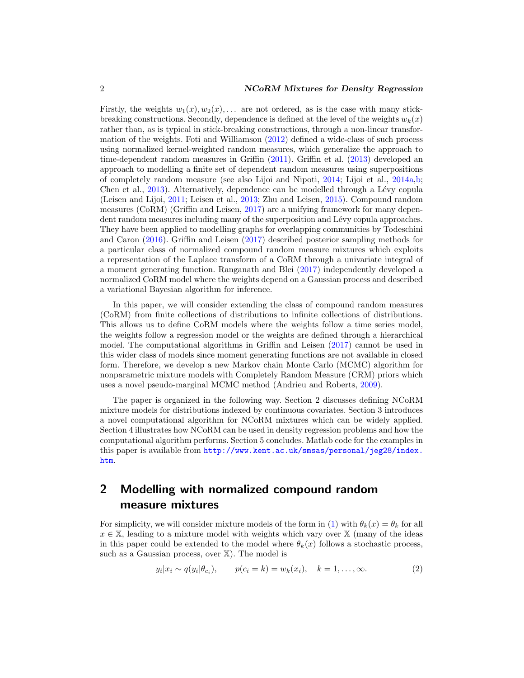<span id="page-2-1"></span><span id="page-2-0"></span>Firstly, the weights  $w_1(x), w_2(x), \ldots$  are not ordered, as is the case with many stickbreaking constructions. Secondly, dependence is defined at the level of the weights  $w_k(x)$ rather than, as is typical in stick-breaking constructions, through a non-linear transformation of the weights. Foti and Williamson [\(2012](#page-18-0)) defined a wide-class of such process using normalized kernel-weighted random measures, which generalize the approach to time-dependent random measures in Griffin [\(2011\)](#page-18-1). Griffin et al. [\(2013](#page-18-2)) developed an approach to modelling a finite set of dependent random measures using superpositions of completely random measure (see also Lijoi and Nipoti, [2014;](#page-18-3) Lijoi et al., [2014a](#page-18-4)[,b;](#page-18-5) Chen et al., [2013](#page-17-1)). Alternatively, dependence can be modelled through a Lévy copula (Leisen and Lijoi, [2011](#page-18-6); Leisen et al., [2013](#page-18-7); Zhu and Leisen, [2015](#page-19-3)). Compound random measures (CoRM) (Griffin and Leisen, [2017\)](#page-18-8) are a unifying framework for many dependent random measures including many of the superposition and Lévy copula approaches. They have been applied to modelling graphs for overlapping communities by Todeschini and Caron [\(2016](#page-19-4)). Griffin and Leisen [\(2017](#page-18-8)) described posterior sampling methods for a particular class of normalized compound random measure mixtures which exploits a representation of the Laplace transform of a CoRM through a univariate integral of a moment generating function. Ranganath and Blei [\(2017\)](#page-19-5) independently developed a normalized CoRM model where the weights depend on a Gaussian process and described a variational Bayesian algorithm for inference.

In this paper, we will consider extending the class of compound random measures (CoRM) from finite collections of distributions to infinite collections of distributions. This allows us to define CoRM models where the weights follow a time series model, the weights follow a regression model or the weights are defined through a hierarchical model. The computational algorithms in Griffin and Leisen [\(2017](#page-18-8)) cannot be used in this wider class of models since moment generating functions are not available in closed form. Therefore, we develop a new Markov chain Monte Carlo (MCMC) algorithm for nonparametric mixture models with Completely Random Measure (CRM) priors which uses a novel pseudo-marginal MCMC method (Andrieu and Roberts, [2009](#page-17-2)).

The paper is organized in the following way. Section 2 discusses defining NCoRM mixture models for distributions indexed by continuous covariates. Section 3 introduces a novel computational algorithm for NCoRM mixtures which can be widely applied. Section 4 illustrates how NCoRM can be used in density regression problems and how the computational algorithm performs. Section 5 concludes. Matlab code for the examples in this paper is available from [http://www.kent.ac.uk/smsas/personal/jeg28/index.](http://www.kent.ac.uk/smsas/personal/jeg28/index.htm) [htm](http://www.kent.ac.uk/smsas/personal/jeg28/index.htm).

# 2 Modelling with normalized compound random measure mixtures

For simplicity, we will consider mixture models of the form in [\(1\)](#page-0-2) with  $\theta_k(x) = \theta_k$  for all  $x \in \mathbb{X}$ , leading to a mixture model with weights which vary over  $\mathbb{X}$  (many of the ideas in this paper could be extended to the model where  $\theta_k(x)$  follows a stochastic process, such as a Gaussian process, over X). The model is

$$
y_i|x_i \sim q(y_i|\theta_{c_i}), \qquad p(c_i = k) = w_k(x_i), \quad k = 1, \dots, \infty.
$$
 (2)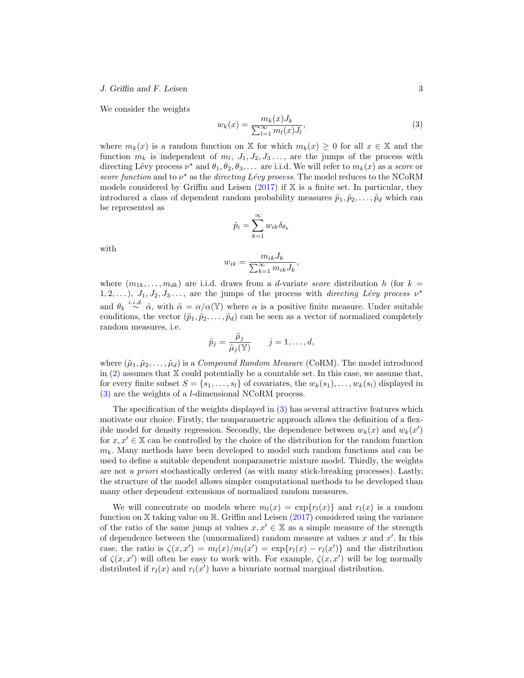<span id="page-3-0"></span>We consider the weights

$$
w_k(x) = \frac{m_k(x)J_k}{\sum_{l=1}^{\infty} m_l(x)J_l},
$$
\n(3)

where  $m_k(x)$  is a random function on X for which  $m_k(x) \geq 0$  for all  $x \in X$  and the function  $m_k$  is independent of  $m_l$ ,  $J_1, J_2, J_3, \ldots$ , are the jumps of the process with directing Lévy process  $\nu^*$  and  $\theta_1, \theta_2, \theta_3, \ldots$  are i.i.d. We will refer to  $m_k(x)$  as a score or score function and to  $\nu^*$  as the directing Lévy process. The model reduces to the NCoRM models considered by Griffin and Leisen [\(2017](#page-18-8)) if  $X$  is a finite set. In particular, they introduced a class of dependent random probability measures  $\tilde{p}_1, \tilde{p}_2, \ldots, \tilde{p}_d$  which can be represented as

$$
\tilde{p}_i = \sum_{k=1}^{\infty} w_{ik} \delta_{\theta_k}
$$

with

$$
w_{ik} = \frac{m_{ik}J_k}{\sum_{k=1}^{\infty} m_{ik}J_k},
$$

where  $(m_{1k},...,m_{dk})$  are i.i.d. draws from a *d*-variate score distribution h (for k =  $1, 2, \ldots$ ,  $J_1, J_2, J_3, \ldots$ , are the jumps of the process with *directing Lévy process*  $\nu^*$ and  $\theta_k \stackrel{i.i.d.}{\sim} \tilde{\alpha}$ , with  $\tilde{\alpha} = \alpha/\alpha(\mathbb{Y})$  where  $\alpha$  is a positive finite measure. Under suitable conditions, the vector  $(\tilde{p}_1, \tilde{p}_2, \ldots, \tilde{p}_d)$  can be seen as a vector of normalized completely random measures, i.e.

$$
\tilde{p}_j = \frac{\tilde{\mu}_j}{\tilde{\mu}_j(\mathbb{Y})} \qquad j = 1, \dots, d,
$$

where  $(\tilde{\mu}_1, \tilde{\mu}_2, \ldots, \tilde{\mu}_d)$  is a *Compound Random Measure* (CoRM). The model introduced in  $(2)$  assumes that  $X$  could potentially be a countable set. In this case, we assume that, for every finite subset  $S = \{s_1, \ldots, s_l\}$  of covariates, the  $w_k(s_1), \ldots, w_k(s_l)$  displayed in [\(3\)](#page-2-0) are the weights of a l-dimensional NCoRM process.

The specification of the weights displayed in [\(3\)](#page-2-0) has several attractive features which motivate our choice. Firstly, the nonparametric approach allows the definition of a flexible model for density regression. Secondly, the dependence between  $w_k(x)$  and  $w_k(x')$ for  $x, x' \in \mathbb{X}$  can be controlled by the choice of the distribution for the random function  $m_k$ . Many methods have been developed to model such random functions and can be used to define a suitable dependent nonparametric mixture model. Thirdly, the weights are not a priori stochastically ordered (as with many stick-breaking processes). Lastly, the structure of the model allows simpler computational methods to be developed than many other dependent extensions of normalized random measures.

We will concentrate on models where  $m_l(x) = \exp\{r_l(x)\}\$ and  $r_l(x)$  is a random function on X taking value on  $\mathbb R$ . Griffin and Leisen [\(2017](#page-18-8)) considered using the variance of the ratio of the same jump at values  $x, x' \in \mathbb{X}$  as a simple measure of the strength of dependence between the (unnormalized) random measure at values x and  $x'$ . In this case, the ratio is  $\zeta(x,x') = m_l(x)/m_l(x') = \exp\{r_l(x) - r_l(x')\}$  and the distribution of  $\zeta(x,x')$  will often be easy to work with. For example,  $\zeta(x,x')$  will be log normally distributed if  $r_l(x)$  and  $r_l(x')$  have a bivariate normal marginal distribution.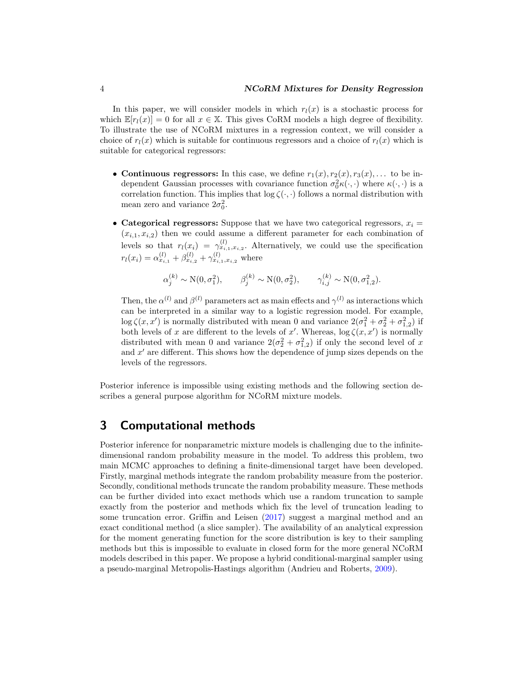<span id="page-4-2"></span>In this paper, we will consider models in which  $r_l(x)$  is a stochastic process for which  $\mathbb{E}[r_l(x)] = 0$  for all  $x \in \mathbb{X}$ . This gives CoRM models a high degree of flexibility. To illustrate the use of NCoRM mixtures in a regression context, we will consider a choice of  $r_l(x)$  which is suitable for continuous regressors and a choice of  $r_l(x)$  which is suitable for categorical regressors:

- Continuous regressors: In this case, we define  $r_1(x), r_2(x), r_3(x), \ldots$  to be independent Gaussian processes with covariance function  $\sigma_0^2 \kappa(\cdot, \cdot)$  where  $\kappa(\cdot, \cdot)$  is a correlation function. This implies that  $\log \zeta(\cdot, \cdot)$  follows a normal distribution with mean zero and variance  $2\sigma_0^2$ .
- Categorical regressors: Suppose that we have two categorical regressors,  $x_i =$  $(x_{i,1}, x_{i,2})$  then we could assume a different parameter for each combination of levels so that  $r_l(x_i) = \gamma_{x_{i,1},x_{i,2}}^{(l)}$ . Alternatively, we could use the specification  $r_l(x_i) = \alpha_{x_{i,1}}^{(l)} + \beta_{x_{i,2}}^{(l)} + \gamma_{x_{i,1},x_{i,2}}^{(l)}$  where

<span id="page-4-1"></span><span id="page-4-0"></span>
$$
\alpha_j^{(k)} \sim \mathcal{N}(0, \sigma_1^2), \qquad \beta_j^{(k)} \sim \mathcal{N}(0, \sigma_2^2), \qquad \gamma_{i,j}^{(k)} \sim \mathcal{N}(0, \sigma_{1,2}^2).
$$

Then, the  $\alpha^{(l)}$  and  $\beta^{(l)}$  parameters act as main effects and  $\gamma^{(l)}$  as interactions which can be interpreted in a similar way to a logistic regression model. For example,  $\log \zeta(x, x')$  is normally distributed with mean 0 and variance  $2(\sigma_1^2 + \sigma_2^2 + \sigma_{1,2}^2)$  if both levels of x are different to the levels of x'. Whereas,  $\log \zeta(x, x')$  is normally distributed with mean 0 and variance  $2(\sigma_2^2 + \sigma_{1,2}^2)$  if only the second level of x and  $x'$  are different. This shows how the dependence of jump sizes depends on the levels of the regressors.

Posterior inference is impossible using existing methods and the following section describes a general purpose algorithm for NCoRM mixture models.

## 3 Computational methods

Posterior inference for nonparametric mixture models is challenging due to the infinitedimensional random probability measure in the model. To address this problem, two main MCMC approaches to defining a finite-dimensional target have been developed. Firstly, marginal methods integrate the random probability measure from the posterior. Secondly, conditional methods truncate the random probability measure. These methods can be further divided into exact methods which use a random truncation to sample exactly from the posterior and methods which fix the level of truncation leading to some truncation error. Griffin and Leisen [\(2017\)](#page-18-8) suggest a marginal method and an exact conditional method (a slice sampler). The availability of an analytical expression for the moment generating function for the score distribution is key to their sampling methods but this is impossible to evaluate in closed form for the more general NCoRM models described in this paper. We propose a hybrid conditional-marginal sampler using a pseudo-marginal Metropolis-Hastings algorithm (Andrieu and Roberts, [2009](#page-17-2)).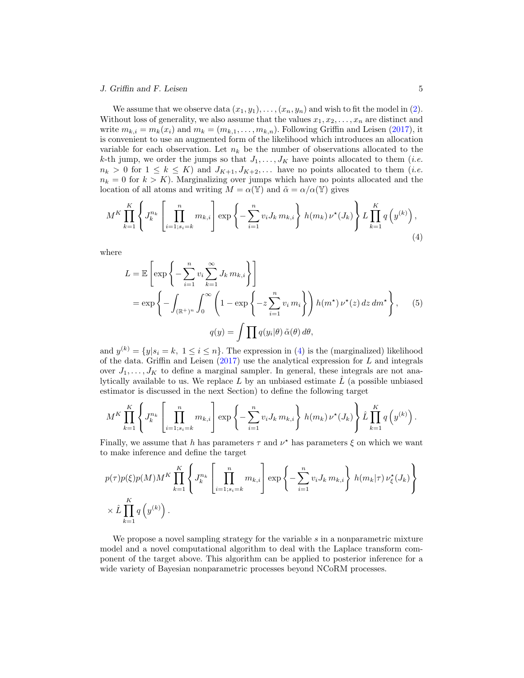<span id="page-5-0"></span>We assume that we observe data  $(x_1, y_1), \ldots, (x_n, y_n)$  and wish to fit the model in [\(2\)](#page-1-0). Without loss of generality, we also assume that the values  $x_1, x_2, \ldots, x_n$  are distinct and write  $m_{k,i} = m_k(x_i)$  and  $m_k = (m_{k,1},\ldots,m_{k,n})$ . Following Griffin and Leisen [\(2017](#page-18-8)), it is convenient to use an augmented form of the likelihood which introduces an allocation variable for each observation. Let  $n_k$  be the number of observations allocated to the k-th jump, we order the jumps so that  $J_1, \ldots, J_K$  have points allocated to them (*i.e.*  $n_k > 0$  for  $1 \leq k \leq K$ ) and  $J_{K+1}, J_{K+2},...$  have no points allocated to them (*i.e.*  $n_k = 0$  for  $k > K$ ). Marginalizing over jumps which have no points allocated and the location of all atoms and writing  $M = \alpha(\mathbb{Y})$  and  $\tilde{\alpha} = \alpha/\alpha(\mathbb{Y})$  gives

$$
M^{K} \prod_{k=1}^{K} \left\{ J_{k}^{n_{k}} \left[ \prod_{i=1; s_{i}=k}^{n} m_{k,i} \right] \exp \left\{ -\sum_{i=1}^{n} v_{i} J_{k} m_{k,i} \right\} h(m_{k}) \nu^{\star}(J_{k}) \right\} L \prod_{k=1}^{K} q\left(y^{(k)}\right), \tag{4}
$$

where

$$
L = \mathbb{E}\left[\exp\left\{-\sum_{i=1}^{n} v_i \sum_{k=1}^{\infty} J_k m_{k,i}\right\}\right]
$$
  
= 
$$
\exp\left\{-\int_{(\mathbb{R}^+)^n} \int_0^{\infty} \left(1 - \exp\left\{-z \sum_{i=1}^n v_i m_i\right\}\right) h(m^*) \nu^*(z) dz dm^*\right\},
$$
 (5)  

$$
q(y) = \int \prod q(y_i|\theta) \tilde{\alpha}(\theta) d\theta,
$$

and  $y^{(k)} = \{y | s_i = k, 1 \le i \le n\}$ . The expression in [\(4\)](#page-4-0) is the (marginalized) likelihood of the data. Griffin and Leisen  $(2017)$  use the analytical expression for L and integrals over  $J_1, \ldots, J_K$  to define a marginal sampler. In general, these integrals are not analytically available to us. We replace L by an unbiased estimate  $\hat{L}$  (a possible unbiased estimator is discussed in the next Section) to define the following target

$$
M^{K} \prod_{k=1}^{K} \left\{ J_{k}^{n_{k}} \left[ \prod_{i=1; s_{i}=k}^{n} m_{k,i} \right] \exp \left\{ - \sum_{i=1}^{n} v_{i} J_{k} m_{k,i} \right\} h(m_{k}) \nu^{\star}(J_{k}) \right\} \hat{L} \prod_{k=1}^{K} q\left(y^{(k)}\right).
$$

Finally, we assume that h has parameters  $\tau$  and  $\nu^*$  has parameters  $\xi$  on which we want to make inference and define the target

$$
p(\tau)p(\xi)p(M)M^{K}\prod_{k=1}^{K} \left\{ J_{k}^{n_{k}}\left[\prod_{i=1;s_{i}=k}^{n} m_{k,i}\right] \exp\left\{-\sum_{i=1}^{n} v_{i}J_{k}m_{k,i}\right\} h(m_{k}|\tau)v_{\xi}^{*}(J_{k})\right\}
$$
  

$$
\times \hat{L}\prod_{k=1}^{K} q\left(y^{(k)}\right).
$$

We propose a novel sampling strategy for the variable  $s$  in a nonparametric mixture model and a novel computational algorithm to deal with the Laplace transform component of the target above. This algorithm can be applied to posterior inference for a wide variety of Bayesian nonparametric processes beyond NCoRM processes.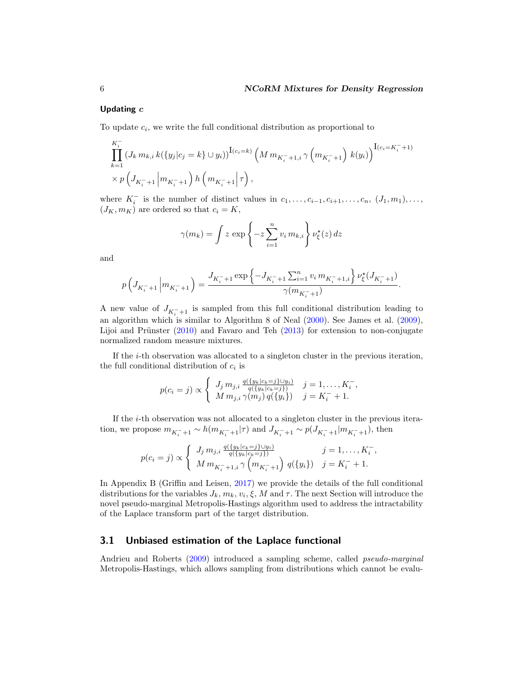#### <span id="page-6-3"></span>Updating  $c$

To update  $c_i$ , we write the full conditional distribution as proportional to

$$
\prod_{k=1}^{K_i^-} (J_k m_{k,i} k({y_j | c_j = k} \cup y_i))^{I(c_i = k)} \left( M m_{K_i^- + 1,i} \gamma \left( m_{K_i^- + 1} \right) k(y_i) \right)^{I(c_i = K_i^- + 1)} \times p \left( J_{K_i^- + 1} \left| m_{K_i^- + 1} \right) h \left( m_{K_i^- + 1} \right| \tau \right),
$$

where  $K_i^-$  is the number of distinct values in  $c_1,\ldots,c_{i-1},c_{i+1},\ldots,c_n$ ,  $(J_1,m_1),\ldots$ ,  $(J_K, m_K)$  are ordered so that  $c_i = K$ ,

<span id="page-6-0"></span>
$$
\gamma(m_k) = \int z \, \exp\left\{-z \sum_{i=1}^n v_i \, m_{k,i}\right\} \nu_{\xi}^{\star}(z) \, dz
$$

and

$$
p\left(J_{K_i^-+1}\middle|m_{K_i^-+1}\right) = \frac{J_{K_i^-+1}\exp\left\{-J_{K_i^-+1}\sum_{i=1}^n v_i m_{K_i^-+1,i}\right\}\nu_{\xi}^{\star}(J_{K_i^-+1})}{\gamma(m_{K_i^-+1})}.
$$

<span id="page-6-2"></span>A new value of  $J_{K_i^-+1}$  is sampled from this full conditional distribution leading to an algorithm which is similar to Algorithm 8 of Neal [\(2000](#page-19-6)). See James et al. [\(2009\)](#page-18-9), Lijoi and Prünster  $(2010)$  and Favaro and Teh  $(2013)$  for extension to non-conjugate normalized random measure mixtures.

If the i-th observation was allocated to a singleton cluster in the previous iteration, the full conditional distribution of  $c_i$  is

<span id="page-6-1"></span>
$$
p(c_i = j) \propto \begin{cases} J_j \, m_{j,i} \, \frac{q(\{y_k \mid c_k = j\} \cup y_i)}{q(\{y_k \mid c_k = j\})} & j = 1, \dots, K_i^-, \\ M \, m_{j,i} \, \gamma(m_j) \, q(\{y_i\}) & j = K_i^- + 1. \end{cases}
$$

If the i-th observation was not allocated to a singleton cluster in the previous iteration, we propose  $m_{K_i^-+1} \sim h(m_{K_i^-+1}|\tau)$  and  $J_{K_i^-+1} \sim p(J_{K_i^-+1}|m_{K_i^-+1})$ , then

$$
p(c_i = j) \propto \begin{cases} J_j m_{j,i} \frac{q(\{y_k \mid c_k = j\} \cup y_i)}{q(\{y_k \mid c_k = j\})} & j = 1, \dots, K_i^-, \\ M m_{K_i^- + 1, i} \gamma \left( m_{K_i^- + 1} \right) q(\{y_i\}) & j = K_i^- + 1. \end{cases}
$$

In Appendix B (Griffin and Leisen, [2017\)](#page-18-11) we provide the details of the full conditional distributions for the variables  $J_k, m_k, v_i, \xi, M$  and  $\tau$ . The next Section will introduce the novel pseudo-marginal Metropolis-Hastings algorithm used to address the intractability of the Laplace transform part of the target distribution.

#### 3.1 Unbiased estimation of the Laplace functional

Andrieu and Roberts [\(2009](#page-17-2)) introduced a sampling scheme, called pseudo-marginal Metropolis-Hastings, which allows sampling from distributions which cannot be evalu-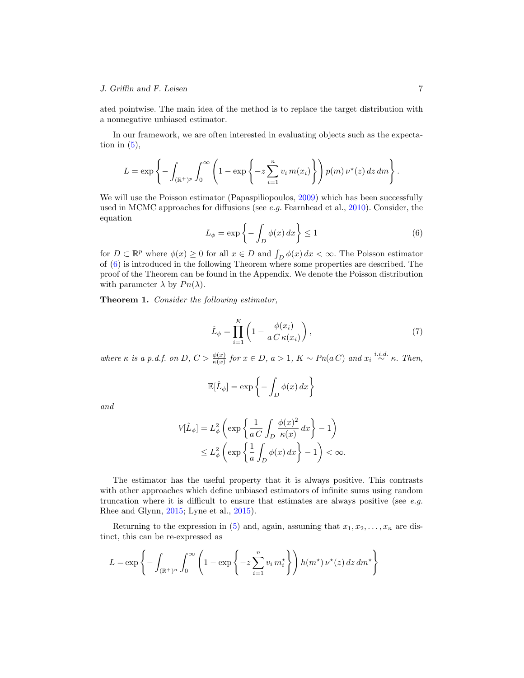<span id="page-7-3"></span>ated pointwise. The main idea of the method is to replace the target distribution with a nonnegative unbiased estimator.

In our framework, we are often interested in evaluating objects such as the expectation in  $(5)$ ,

$$
L = \exp\left\{-\int_{(\mathbb{R}^+)^p} \int_0^\infty \left(1 - \exp\left\{-z\sum_{i=1}^n v_i m(x_i)\right\}\right) p(m) \nu^\star(z) dz dm\right\}.
$$

We will use the Poisson estimator (Papaspiliopoulos, [2009](#page-19-7)) which has been successfully used in MCMC approaches for diffusions (see e.g. Fearnhead et al., [2010](#page-17-4)). Consider, the equation

<span id="page-7-0"></span>
$$
L_{\phi} = \exp\left\{-\int_{D} \phi(x) dx\right\} \le 1\tag{6}
$$

for  $D \subset \mathbb{R}^p$  where  $\phi(x) \ge 0$  for all  $x \in D$  and  $\int_D \phi(x) dx < \infty$ . The Poisson estimator of [\(6\)](#page-6-0) is introduced in the following Theorem where some properties are described. The proof of the Theorem can be found in the Appendix. We denote the Poisson distribution with parameter  $\lambda$  by  $Pn(\lambda)$ .

Theorem 1. Consider the following estimator,

$$
\hat{L}_{\phi} = \prod_{i=1}^{K} \left( 1 - \frac{\phi(x_i)}{a C \kappa(x_i)} \right),\tag{7}
$$

where  $\kappa$  is a p.d.f. on  $D, C > \frac{\phi(x)}{\kappa(x)}$  for  $x \in D, a > 1, K \sim Pn(a C)$  and  $x_i \stackrel{i.i.d.}{\sim} \kappa$ . Then,

<span id="page-7-2"></span>
$$
\mathbb{E}[\hat{L}_{\phi}] = \exp\left\{-\int_D \phi(x) \, dx\right\}
$$

and

<span id="page-7-1"></span>
$$
V[\hat{L}_{\phi}] = L_{\phi}^{2} \left( \exp \left\{ \frac{1}{a C} \int_{D} \frac{\phi(x)^{2}}{\kappa(x)} dx \right\} - 1 \right)
$$
  
\$\leq L\_{\phi}^{2} \left( \exp \left\{ \frac{1}{a} \int\_{D} \phi(x) dx \right\} - 1 \right) < \infty\$.

The estimator has the useful property that it is always positive. This contrasts with other approaches which define unbiased estimators of infinite sums using random truncation where it is difficult to ensure that estimates are always positive (see  $e.g.$ Rhee and Glynn, [2015](#page-19-8); Lyne et al., [2015](#page-18-12)).

Returning to the expression in [\(5\)](#page-4-1) and, again, assuming that  $x_1, x_2, \ldots, x_n$  are distinct, this can be re-expressed as

$$
L = \exp\left\{-\int_{(\mathbb{R}^+)^n} \int_0^\infty \left(1 - \exp\left\{-z\sum_{i=1}^n v_i m_i^\star\right\}\right) h(m^\star) \nu^\star(z) \, dz \, dm^\star\right\}
$$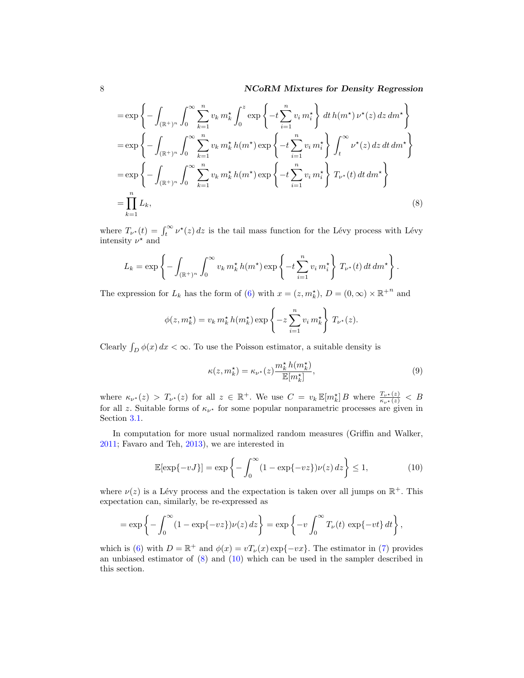<span id="page-8-0"></span>8 NCoRM Mixtures for Density Regression

$$
= \exp\left\{-\int_{(\mathbb{R}^+)^n} \int_0^\infty \sum_{k=1}^n v_k m_k^\star \int_0^z \exp\left\{-t \sum_{i=1}^n v_i m_i^\star\right\} dt h(m^\star) \nu^\star(z) dz dm^\star\right\}
$$
  
\n
$$
= \exp\left\{-\int_{(\mathbb{R}^+)^n} \int_0^\infty \sum_{k=1}^n v_k m_k^\star h(m^\star) \exp\left\{-t \sum_{i=1}^n v_i m_i^\star\right\} \int_t^\infty \nu^\star(z) dz dt dm^\star\right\}
$$
  
\n
$$
= \exp\left\{-\int_{(\mathbb{R}^+)^n} \int_0^\infty \sum_{k=1}^n v_k m_k^\star h(m^\star) \exp\left\{-t \sum_{i=1}^n v_i m_i^\star\right\} T_{\nu^\star}(t) dt dm^\star\right\}
$$
  
\n
$$
= \prod_{k=1}^n L_k,
$$
\n(8)

where  $T_{\nu^*}(t) = \int_t^{\infty} \nu^*(z) dz$  is the tail mass function for the Lévy process with Lévy intensity  $\nu^*$  and

$$
L_k = \exp\left\{-\int_{(\mathbb{R}^+)^n} \int_0^\infty v_k m_k^* h(m^*) \exp\left\{-t \sum_{i=1}^n v_i m_i^*\right\} T_{\nu^*}(t) dt dm^*\right\}.
$$

The expression for  $L_k$  has the form of [\(6\)](#page-6-0) with  $x = (z, m_k^*)$ ,  $D = (0, \infty) \times \mathbb{R}^{+n}$  and

$$
\phi(z, m_k^{\star}) = v_k m_k^{\star} h(m_k^{\star}) \exp\left\{-z \sum_{i=1}^n v_i m_k^{\star}\right\} T_{\nu^{\star}}(z).
$$

Clearly  $\int_D \phi(x) dx < \infty$ . To use the Poisson estimator, a suitable density is

$$
\kappa(z, m_k^{\star}) = \kappa_{\nu^{\star}}(z) \frac{m_k^{\star} h(m_k^{\star})}{\mathbb{E}[m_k^{\star}]},
$$
\n(9)

where  $\kappa_{\nu^*}(z) > T_{\nu^*}(z)$  for all  $z \in \mathbb{R}^+$ . We use  $C = v_k \mathbb{E}[m_k^*]B$  where  $\frac{T_{\nu^*}(z)}{\kappa_{\nu^*}(z)} < B$ for all z. Suitable forms of  $\kappa_{\nu^*}$  for some popular nonparametric processes are given in Section [3.1.](#page-9-0)

In computation for more usual normalized random measures (Griffin and Walker, [2011;](#page-18-13) Favaro and Teh, [2013\)](#page-17-3), we are interested in

$$
\mathbb{E}[\exp\{-vJ\}] = \exp\left\{-\int_0^\infty (1 - \exp\{-vz\}) \nu(z) \, dz\right\} \le 1,\tag{10}
$$

where  $\nu(z)$  is a Lévy process and the expectation is taken over all jumps on  $\mathbb{R}^+$ . This expectation can, similarly, be re-expressed as

$$
= \exp\left\{-\int_0^\infty (1 - \exp\{-vz\})\nu(z)\,dz\right\} = \exp\left\{-v\int_0^\infty T_\nu(t)\,\exp\{-vt\}\,dt\right\},\,
$$

which is [\(6\)](#page-6-0) with  $D = \mathbb{R}^+$  and  $\phi(x) = vT_\nu(x) \exp\{-vx\}$ . The estimator in [\(7\)](#page-6-1) provides an unbiased estimator of [\(8\)](#page-7-0) and [\(10\)](#page-7-1) which can be used in the sampler described in this section.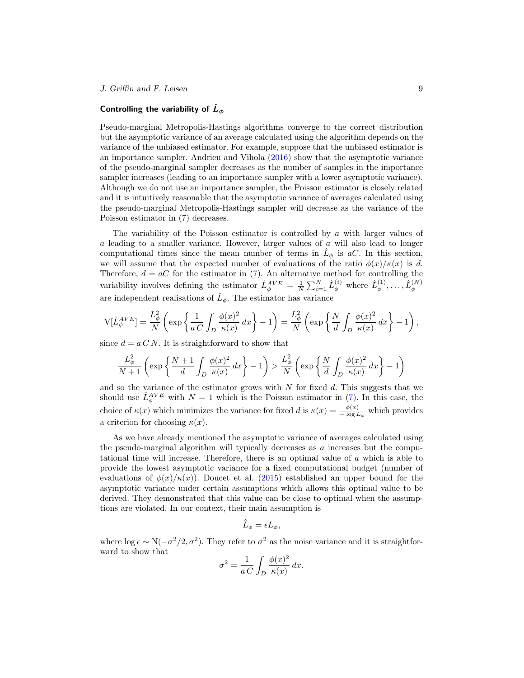#### <span id="page-9-1"></span>Controlling the variability of  $\hat{L}_{\phi}$

Pseudo-marginal Metropolis-Hastings algorithms converge to the correct distribution but the asymptotic variance of an average calculated using the algorithm depends on the variance of the unbiased estimator. For example, suppose that the unbiased estimator is an importance sampler. Andrieu and Vihola [\(2016\)](#page-17-5) show that the asymptotic variance of the pseudo-marginal sampler decreases as the number of samples in the importance sampler increases (leading to an importance sampler with a lower asymptotic variance). Although we do not use an importance sampler, the Poisson estimator is closely related and it is intuitively reasonable that the asymptotic variance of averages calculated using the pseudo-marginal Metropolis-Hastings sampler will decrease as the variance of the Poisson estimator in [\(7\)](#page-6-1) decreases.

<span id="page-9-0"></span>The variability of the Poisson estimator is controlled by a with larger values of a leading to a smaller variance. However, larger values of a will also lead to longer computational times since the mean number of terms in  $\hat{L}_{\phi}$  is aC. In this section, we will assume that the expected number of evaluations of the ratio  $\phi(x)/\kappa(x)$  is d. Therefore,  $d = aC$  for the estimator in [\(7\)](#page-6-1). An alternative method for controlling the variability involves defining the estimator  $\hat{L}_{\phi}^{AVE} = \frac{1}{N} \sum_{i=1}^{N} \hat{L}_{\phi}^{(i)}$  where  $\hat{L}_{\phi}^{(1)}$  $\hat{\mu}^{(1)}_\phi, \ldots, \hat{L}^{(N)}_\phi$ φ are independent realisations of  $\hat{L}_{\phi}$ . The estimator has variance

$$
\mathcal{V}[\hat{L}_{\phi}^{AVE}] = \frac{L_{\phi}^2}{N} \left( \exp\left\{ \frac{1}{aC} \int_D \frac{\phi(x)^2}{\kappa(x)} dx \right\} - 1 \right) = \frac{L_{\phi}^2}{N} \left( \exp\left\{ \frac{N}{d} \int_D \frac{\phi(x)^2}{\kappa(x)} dx \right\} - 1 \right),
$$

since  $d = a C N$ . It is straightforward to show that

$$
\frac{L_{\phi}^2}{N+1} \left( \exp\left\{ \frac{N+1}{d} \int_D \frac{\phi(x)^2}{\kappa(x)} dx \right\} - 1 \right) > \frac{L_{\phi}^2}{N} \left( \exp\left\{ \frac{N}{d} \int_D \frac{\phi(x)^2}{\kappa(x)} dx \right\} - 1 \right)
$$

and so the variance of the estimator grows with  $N$  for fixed  $d$ . This suggests that we should use  $\hat{L}_{\phi}^{AVE}$  with  $N=1$  which is the Poisson estimator in [\(7\)](#page-6-1). In this case, the choice of  $\kappa(x)$  which minimizes the variance for fixed d is  $\kappa(x) = \frac{\phi(x)}{-\log L_{\phi}}$  which provides a criterion for choosing  $\kappa(x)$ .

As we have already mentioned the asymptotic variance of averages calculated using the pseudo-marginal algorithm will typically decreases as  $a$  increases but the computational time will increase. Therefore, there is an optimal value of a which is able to provide the lowest asymptotic variance for a fixed computational budget (number of evaluations of  $\phi(x)/\kappa(x)$ . Doucet et al. [\(2015](#page-17-6)) established an upper bound for the asymptotic variance under certain assumptions which allows this optimal value to be derived. They demonstrated that this value can be close to optimal when the assumptions are violated. In our context, their main assumption is

$$
\hat{L}_{\phi} = \epsilon L_{\phi},
$$

where  $\log \epsilon \sim \mathcal{N}(-\sigma^2/2, \sigma^2)$ . They refer to  $\sigma^2$  as the noise variance and it is straightforward to show that

$$
\sigma^2 = \frac{1}{a C} \int_D \frac{\phi(x)^2}{\kappa(x)} dx.
$$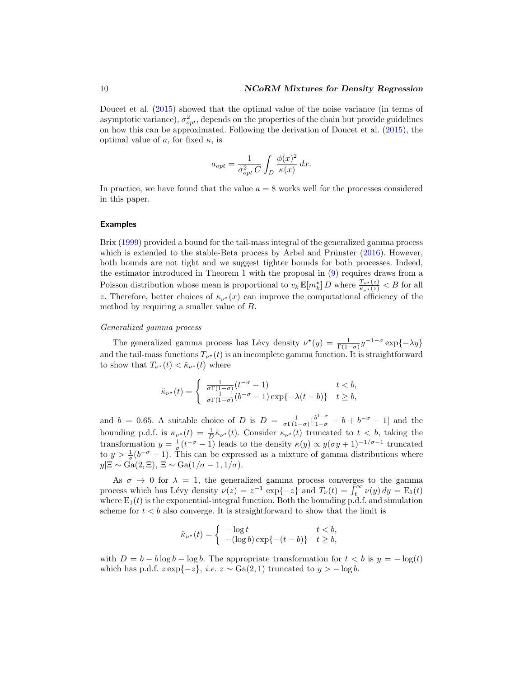<span id="page-10-0"></span>Doucet et al. [\(2015\)](#page-17-6) showed that the optimal value of the noise variance (in terms of asymptotic variance),  $\sigma_{opt}^2$ , depends on the properties of the chain but provide guidelines on how this can be approximated. Following the derivation of Doucet et al. [\(2015\)](#page-17-6), the optimal value of a, for fixed  $\kappa$ , is

$$
a_{opt} = \frac{1}{\sigma_{opt}^2 C} \int_D \frac{\phi(x)^2}{\kappa(x)} dx.
$$

In practice, we have found that the value  $a = 8$  works well for the processes considered in this paper.

#### Examples

Brix [\(1999\)](#page-17-7) provided a bound for the tail-mass integral of the generalized gamma process which is extended to the stable-Beta process by Arbel and Prünster  $(2016)$ . However, both bounds are not tight and we suggest tighter bounds for both processes. Indeed, the estimator introduced in Theorem [1](#page-6-2) with the proposal in [\(9\)](#page-7-2) requires draws from a Poisson distribution whose mean is proportional to  $v_k \mathbb{E}[m_k^*] D$  where  $\frac{T_{\nu^*}(z)}{\kappa_{\nu^*}(z)} < B$  for all z. Therefore, better choices of  $\kappa_{\nu^*}(x)$  can improve the computational efficiency of the method by requiring a smaller value of B.

#### Generalized gamma process

The generalized gamma process has Lévy density  $\nu^*(y) = \frac{1}{\Gamma(1-\sigma)} y^{-1-\sigma} \exp\{-\lambda y\}$ and the tail-mass functions  $T_{\nu^*}(t)$  is an incomplete gamma function. It is straightforward to show that  $T_{\nu^*}(t) < \tilde{\kappa}_{\nu^*}(t)$  where

$$
\tilde{\kappa}_{\nu^{\star}}(t) = \begin{cases}\n\frac{1}{\sigma \Gamma(1-\sigma)}(t^{-\sigma} - 1) & t < b, \\
\frac{1}{\sigma \Gamma(1-\sigma)}(b^{-\sigma} - 1) \exp\{-\lambda(t - b)\} & t \ge b,\n\end{cases}
$$

and  $b = 0.65$ . A suitable choice of D is  $D = \frac{1}{\sigma \Gamma(1-\sigma)} \left[\frac{b^{1-\sigma}}{1-\sigma} - b + b^{-\sigma} - 1\right]$  and the bounding p.d.f. is  $\kappa_{\nu^*}(t) = \frac{1}{D} \tilde{\kappa}_{\nu^*}(t)$ . Consider  $\kappa_{\nu^*}(t)$  truncated to  $t < b$ , taking the transformation  $y = \frac{1}{\sigma}(t^{-\sigma} - 1)$  leads to the density  $\kappa(y) \propto y(\sigma y + 1)^{-1/\sigma - 1}$  truncated to  $y > \frac{1}{\sigma} (b^{-\sigma} - 1)$ . This can be expressed as a mixture of gamma distributions where  $y|\Xi \sim \check{Ga}(2,\Xi), \Xi \sim Ga(1/\sigma-1,1/\sigma).$ 

As  $\sigma \to 0$  for  $\lambda = 1$ , the generalized gamma process converges to the gamma process which has Lévy density  $\nu(z) = z^{-1} \exp\{-z\}$  and  $T_{\nu}(t) = \int_{t}^{\infty} \nu(y) dy = E_1(t)$ where  $E_1(t)$  is the exponential-integral function. Both the bounding p.d.f. and simulation scheme for  $t < b$  also converge. It is straightforward to show that the limit is

$$
\tilde{\kappa}_{\nu^*}(t) = \begin{cases}\n-\log t & t < b, \\
-(\log b) \exp\{-(t-b)\} & t \ge b,\n\end{cases}
$$

with  $D = b - b \log b - \log b$ . The appropriate transformation for  $t < b$  is  $y = -\log(t)$ which has p.d.f.  $z \exp\{-z\}$ , *i.e.*  $z \sim \text{Ga}(2, 1)$  truncated to  $y > -\log b$ .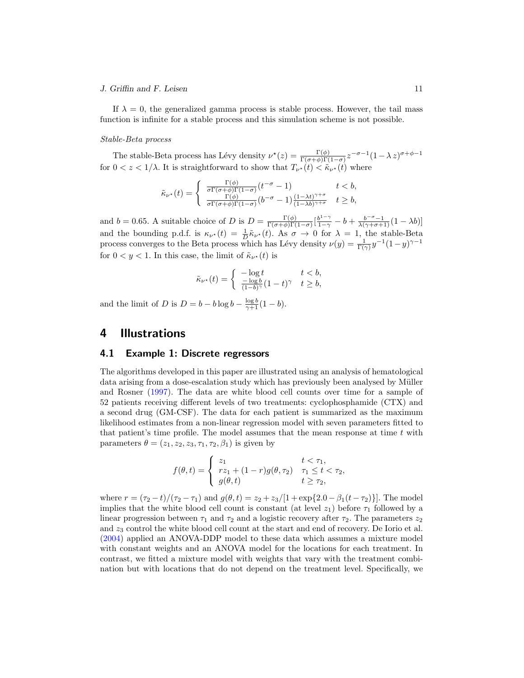If  $\lambda = 0$ , the generalized gamma process is stable process. However, the tail mass function is infinite for a stable process and this simulation scheme is not possible.

#### Stable-Beta process

The stable-Beta process has Lévy density  $\nu^*(z) = \frac{\Gamma(\phi)}{\Gamma(\sigma+\phi)\Gamma(1-\sigma)} z^{-\sigma-1} (1-\lambda z)^{\sigma+\phi-1}$ for  $0 < z < 1/\lambda$ . It is straightforward to show that  $T_{\nu^*}(t) < \tilde{\kappa}_{\nu^*}(t)$  where

$$
\tilde{\kappa}_{\nu^{\star}}(t) = \begin{cases}\n\frac{\Gamma(\phi)}{\sigma \Gamma(\sigma + \phi) \Gamma(1 - \sigma)} (t^{-\sigma} - 1) & t < b, \\
\frac{\Gamma(\phi)}{\sigma \Gamma(\sigma + \phi) \Gamma(1 - \sigma)} (b^{-\sigma} - 1) \frac{(1 - \lambda t)^{\gamma + \sigma}}{(1 - \lambda b)^{\gamma + \sigma}} & t \ge b,\n\end{cases}
$$

and  $b = 0.65$ . A suitable choice of D is  $D = \frac{\Gamma(\phi)}{\Gamma(\sigma + \phi)\Gamma(\phi)}$  $\frac{\Gamma(\phi)}{\Gamma(\sigma+\phi)\Gamma(1-\sigma)}\left[\frac{b^{1-\gamma}}{1-\gamma}-b+\frac{b^{-\sigma}-1}{\lambda(\gamma+\sigma+1)}(1-\lambda b)\right]$ and the bounding p.d.f. is  $\kappa_{\nu^*}(t) = \frac{1}{D} \tilde{\kappa}_{\nu^*}(t)$ . As  $\sigma \to 0$  for  $\lambda = 1$ , the stable-Beta process converges to the Beta process which has Lévy density  $\nu(y) = \frac{1}{\Gamma(\gamma)} y^{-1} (1 - y)^{\gamma - 1}$ for  $0 < y < 1$ . In this case, the limit of  $\tilde{\kappa}_{\nu^*}(t)$  is

$$
\tilde{\kappa}_{\nu^*}(t) = \begin{cases}\n-\log t & t < b, \\
\frac{-\log b}{(1-b)^{\gamma}}(1-t)^{\gamma} & t \ge b,\n\end{cases}
$$

and the limit of D is  $D = b - b \log b - \frac{\log b}{\gamma + 1} (1 - b)$ .

### 4 Illustrations

#### 4.1 Example 1: Discrete regressors

The algorithms developed in this paper are illustrated using an analysis of hematological data arising from a dose-escalation study which has previously been analysed by Müller and Rosner [\(1997\)](#page-19-9). The data are white blood cell counts over time for a sample of 52 patients receiving different levels of two treatments: cyclophosphamide (CTX) and a second drug (GM-CSF). The data for each patient is summarized as the maximum likelihood estimates from a non-linear regression model with seven parameters fitted to that patient's time profile. The model assumes that the mean response at time  $t$  with parameters  $\theta = (z_1, z_2, z_3, \tau_1, \tau_2, \beta_1)$  is given by

$$
f(\theta, t) = \begin{cases} z_1 & t < \tau_1, \\ r z_1 + (1 - r)g(\theta, \tau_2) & \tau_1 \le t < \tau_2, \\ g(\theta, t) & t \ge \tau_2, \end{cases}
$$

<span id="page-11-0"></span>where  $r = (\tau_2 - t)/(\tau_2 - \tau_1)$  and  $g(\theta, t) = z_2 + z_3/[1 + \exp\{2.0 - \beta_1(t - \tau_2)\}]$ . The model implies that the white blood cell count is constant (at level  $z_1$ ) before  $\tau_1$  followed by a linear progression between  $\tau_1$  and  $\tau_2$  and a logistic recovery after  $\tau_2$ . The parameters  $z_2$ and  $z_3$  control the white blood cell count at the start and end of recovery. De Iorio et al. [\(2004\)](#page-17-9) applied an ANOVA-DDP model to these data which assumes a mixture model with constant weights and an ANOVA model for the locations for each treatment. In contrast, we fitted a mixture model with weights that vary with the treatment combination but with locations that do not depend on the treatment level. Specifically, we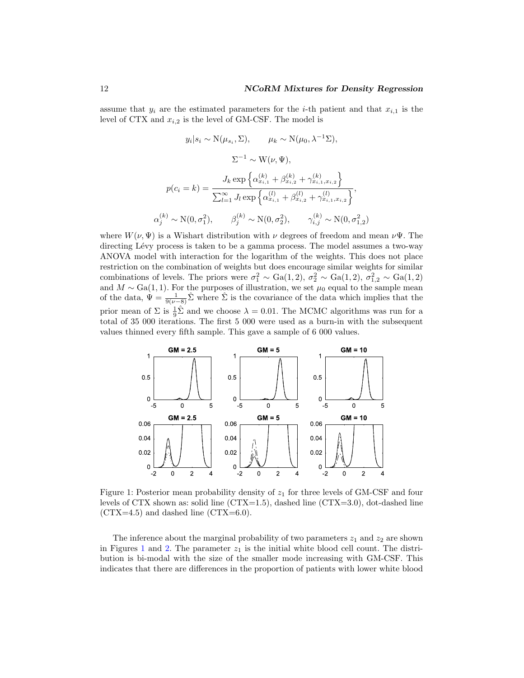assume that  $y_i$  are the estimated parameters for the *i*-th patient and that  $x_{i,1}$  is the level of CTX and  $x_{i,2}$  is the level of GM-CSF. The model is

$$
y_i|s_i \sim N(\mu_{s_i}, \Sigma), \qquad \mu_k \sim N(\mu_0, \lambda^{-1} \Sigma),
$$

$$
\Sigma^{-1} \sim W(\nu, \Psi),
$$

$$
p(c_i = k) = \frac{J_k \exp\left\{\alpha_{x_{i,1}}^{(k)} + \beta_{x_{i,2}}^{(k)} + \gamma_{x_{i,1},x_{i,2}}^{(k)}\right\}}{\sum_{l=1}^{\infty} J_l \exp\left\{\alpha_{x_{i,1}}^{(l)} + \beta_{x_{i,2}}^{(l)} + \gamma_{x_{i,1},x_{i,2}}^{(l)}\right\}},
$$

$$
\alpha_j^{(k)} \sim N(0, \sigma_1^2), \qquad \beta_j^{(k)} \sim N(0, \sigma_2^2), \qquad \gamma_{i,j}^{(k)} \sim N(0, \sigma_{1,2}^2)
$$

<span id="page-12-0"></span>where  $W(\nu, \Psi)$  is a Wishart distribution with  $\nu$  degrees of freedom and mean  $\nu\Psi$ . The directing Lévy process is taken to be a gamma process. The model assumes a two-way ANOVA model with interaction for the logarithm of the weights. This does not place restriction on the combination of weights but does encourage similar weights for similar combinations of levels. The priors were  $\sigma_1^2 \sim \text{Ga}(1, 2), \sigma_2^2 \sim \text{Ga}(1, 2), \sigma_{1,2}^2 \sim \text{Ga}(1, 2)$ and  $M \sim Ga(1,1)$ . For the purposes of illustration, we set  $\mu_0$  equal to the sample mean of the data,  $\Psi = \frac{1}{9(\nu-8)}\hat{\Sigma}$  where  $\hat{\Sigma}$  is the covariance of the data which implies that the prior mean of  $\Sigma$  is  $\frac{1}{9}\hat{\Sigma}$  and we choose  $\lambda = 0.01$ . The MCMC algorithms was run for a total of 35 000 iterations. The first 5 000 were used as a burn-in with the subsequent values thinned every fifth sample. This gave a sample of 6 000 values.

<span id="page-12-1"></span>

Figure 1: Posterior mean probability density of  $z<sub>1</sub>$  for three levels of GM-CSF and four levels of CTX shown as: solid line  $(CTX=1.5)$ , dashed line  $(CTX=3.0)$ , dot-dashed line  $(CTX=4.5)$  and dashed line  $(CTX=6.0)$ .

The inference about the marginal probability of two parameters  $z_1$  and  $z_2$  are shown in Figures [1](#page-11-0) and [2.](#page-12-0) The parameter  $z_1$  is the initial white blood cell count. The distribution is bi-modal with the size of the smaller mode increasing with GM-CSF. This indicates that there are differences in the proportion of patients with lower white blood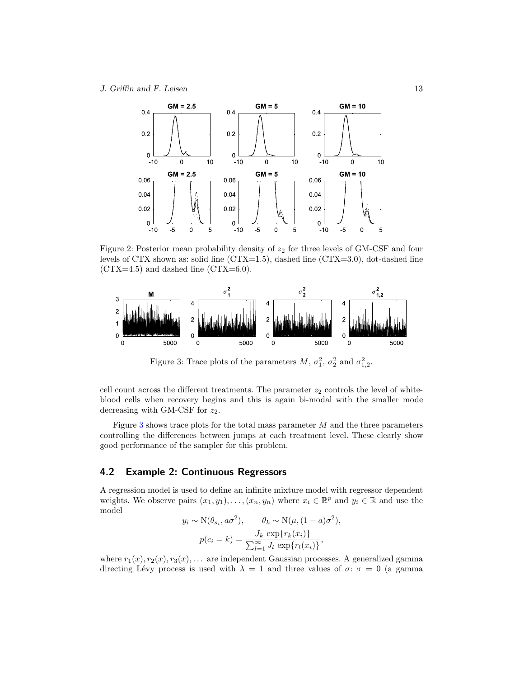<span id="page-13-2"></span>

Figure 2: Posterior mean probability density of  $z_2$  for three levels of GM-CSF and four levels of CTX shown as: solid line (CTX=1.5), dashed line (CTX=3.0), dot-dashed line  $(CTX=4.5)$  and dashed line  $(CTX=6.0)$ .

<span id="page-13-0"></span>

Figure 3: Trace plots of the parameters  $M$ ,  $\sigma_1^2$ ,  $\sigma_2^2$  and  $\sigma_{1,2}^2$ .

cell count across the different treatments. The parameter  $z_2$  controls the level of whiteblood cells when recovery begins and this is again bi-modal with the smaller mode decreasing with GM-CSF for  $z_2$ .

Figure [3](#page-12-1) shows trace plots for the total mass parameter  $M$  and the three parameters controlling the differences between jumps at each treatment level. These clearly show good performance of the sampler for this problem.

#### <span id="page-13-1"></span>4.2 Example 2: Continuous Regressors

A regression model is used to define an infinite mixture model with regressor dependent weights. We observe pairs  $(x_1, y_1), \ldots, (x_n, y_n)$  where  $x_i \in \mathbb{R}^p$  and  $y_i \in \mathbb{R}$  and use the model

$$
y_i \sim \mathcal{N}(\theta_{s_i}, a\sigma^2), \qquad \theta_k \sim \mathcal{N}(\mu, (1-a)\sigma^2),
$$

$$
p(c_i = k) = \frac{J_k \exp\{r_k(x_i)\}}{\sum_{l=1}^{\infty} J_l \exp\{r_l(x_i)\}},
$$

where  $r_1(x), r_2(x), r_3(x), \ldots$  are independent Gaussian processes. A generalized gamma directing Lévy process is used with  $\lambda = 1$  and three values of  $\sigma: \sigma = 0$  (a gamma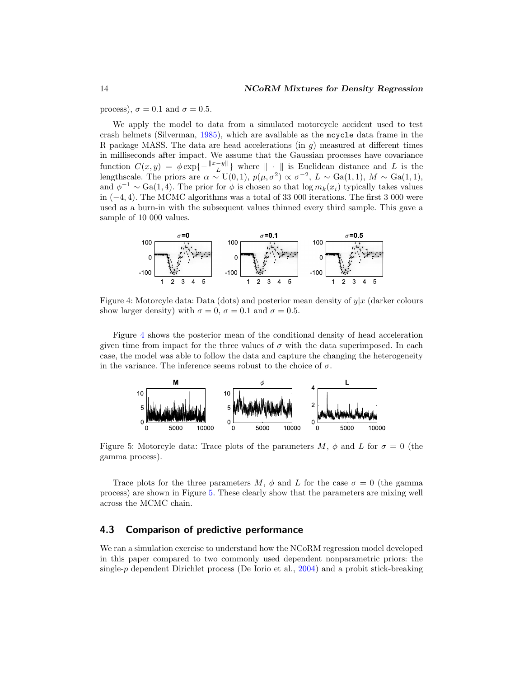<span id="page-14-0"></span>process),  $\sigma = 0.1$  and  $\sigma = 0.5$ .

We apply the model to data from a simulated motorcycle accident used to test crash helmets (Silverman, [1985\)](#page-19-10), which are available as the mcycle data frame in the R package MASS. The data are head accelerations (in  $q$ ) measured at different times in milliseconds after impact. We assume that the Gaussian processes have covariance function  $C(x, y) = \phi \exp\left\{-\frac{|x-y|}{L}\right\}$  where  $\|\cdot\|$  is Euclidean distance and L is the lengthscale. The priors are  $\alpha \sim U(0,1)$ ,  $p(\mu, \sigma^2) \propto \sigma^{-2}$ ,  $L \sim Ga(1,1)$ ,  $M \sim Ga(1,1)$ , and  $\phi^{-1} \sim Ga(1, 4)$ . The prior for  $\phi$  is chosen so that  $\log m_k(x_i)$  typically takes values in  $(-4, 4)$ . The MCMC algorithms was a total of 33 000 iterations. The first 3 000 were used as a burn-in with the subsequent values thinned every third sample. This gave a sample of 10 000 values.



Figure 4: Motorcyle data: Data (dots) and posterior mean density of  $y|x$  (darker colours show larger density) with  $\sigma = 0$ ,  $\sigma = 0.1$  and  $\sigma = 0.5$ .

Figure [4](#page-13-0) shows the posterior mean of the conditional density of head acceleration given time from impact for the three values of  $\sigma$  with the data superimposed. In each case, the model was able to follow the data and capture the changing the heterogeneity in the variance. The inference seems robust to the choice of  $\sigma$ .



Figure 5: Motorcyle data: Trace plots of the parameters  $M$ ,  $\phi$  and  $L$  for  $\sigma = 0$  (the gamma process).

Trace plots for the three parameters M,  $\phi$  and L for the case  $\sigma = 0$  (the gamma process) are shown in Figure [5.](#page-13-1) These clearly show that the parameters are mixing well across the MCMC chain.

#### 4.3 Comparison of predictive performance

We ran a simulation exercise to understand how the NCoRM regression model developed in this paper compared to two commonly used dependent nonparametric priors: the single-p dependent Dirichlet process (De Iorio et al.,  $2004$ ) and a probit stick-breaking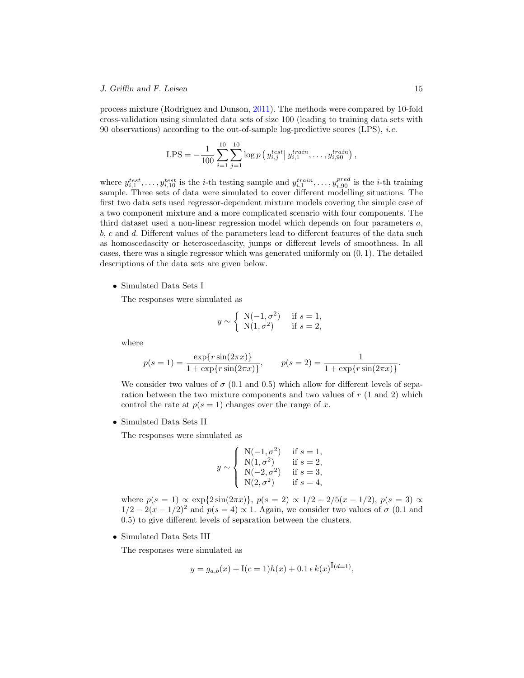process mixture (Rodriguez and Dunson, [2011\)](#page-19-11). The methods were compared by 10-fold cross-validation using simulated data sets of size 100 (leading to training data sets with 90 observations) according to the out-of-sample log-predictive scores (LPS), *i.e.* 

LPS = 
$$
-\frac{1}{100} \sum_{i=1}^{10} \sum_{j=1}^{10} \log p \left( y_{i,j}^{test} | y_{i,1}^{train}, \dots, y_{i,90}^{train} \right),
$$

where  $y_{i,1}^{test}, \ldots, y_{i,10}^{test}$  is the *i*-th testing sample and  $y_{i,1}^{train}, \ldots, y_{i,90}^{pred}$  is the *i*-th training sample. Three sets of data were simulated to cover different modelling situations. The first two data sets used regressor-dependent mixture models covering the simple case of a two component mixture and a more complicated scenario with four components. The third dataset used a non-linear regression model which depends on four parameters a, b, c and d. Different values of the parameters lead to different features of the data such as homoscedascity or heteroscedascity, jumps or different levels of smoothness. In all cases, there was a single regressor which was generated uniformly on  $(0, 1)$ . The detailed descriptions of the data sets are given below.

• Simulated Data Sets I

The responses were simulated as

$$
y \sim \begin{cases} \text{ N}(-1, \sigma^2) & \text{if } s = 1, \\ \text{ N}(1, \sigma^2) & \text{if } s = 2, \end{cases}
$$

<span id="page-15-0"></span>where

$$
p(s=1) = \frac{\exp\{r\sin(2\pi x)\}}{1 + \exp\{r\sin(2\pi x)\}}, \qquad p(s=2) = \frac{1}{1 + \exp\{r\sin(2\pi x)\}}.
$$

We consider two values of  $\sigma$  (0.1 and 0.5) which allow for different levels of separation between the two mixture components and two values of  $r(1 \text{ and } 2)$  which control the rate at  $p(s = 1)$  changes over the range of x.

• Simulated Data Sets II

<span id="page-15-1"></span>The responses were simulated as

$$
y \sim \begin{cases} \text{ N}(-1, \sigma^2) & \text{if } s = 1, \\ \text{ N}(1, \sigma^2) & \text{if } s = 2, \\ \text{ N}(-2, \sigma^2) & \text{if } s = 3, \\ \text{ N}(2, \sigma^2) & \text{if } s = 4, \end{cases}
$$

where  $p(s = 1) \propto \exp\{2\sin(2\pi x)\}, p(s = 2) \propto 1/2 + 2/5(x - 1/2), p(s = 3) \propto$  $1/2 - 2(x - 1/2)^2$  and  $p(s = 4) \propto 1$ . Again, we consider two values of  $\sigma$  (0.1 and 0.5) to give different levels of separation between the clusters.

• Simulated Data Sets III

The responses were simulated as

$$
y = g_{a,b}(x) + I(c = 1)h(x) + 0.1 \epsilon k(x)^{I(d=1)},
$$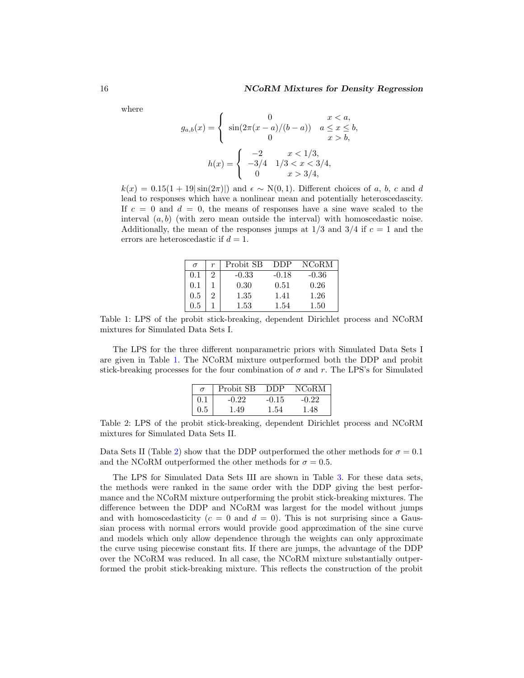where

$$
g_{a,b}(x) = \begin{cases} 0 & x < a, \\ \sin(2\pi(x-a)/(b-a)) & a \le x \le b, \\ 0 & x > b, \end{cases}
$$

$$
h(x) = \begin{cases} -2 & x < 1/3, \\ -3/4 & 1/3 < x < 3/4, \\ 0 & x > 3/4, \end{cases}
$$

<span id="page-16-0"></span> $k(x)=0.15(1+19|\sin(2\pi))$  and  $\epsilon \sim N(0,1)$ . Different choices of a, b, c and d lead to responses which have a nonlinear mean and potentially heteroscedascity. If  $c = 0$  and  $d = 0$ , the means of responses have a sine wave scaled to the interval  $(a, b)$  (with zero mean outside the interval) with homoscedastic noise. Additionally, the mean of the responses jumps at  $1/3$  and  $3/4$  if  $c = 1$  and the errors are heteroscedastic if  $d = 1$ .

|     | Probit SB | DDP     | NC <sub>o</sub> R <sub>M</sub> |
|-----|-----------|---------|--------------------------------|
| 0.1 | $-0.33$   | $-0.18$ | $-0.36$                        |
| 0.1 | 0.30      | 0.51    | 0.26                           |
| 0.5 | 1.35      | 1.41    | 1.26                           |
| 0.5 | $1.53\,$  | 1.54    | 1.50                           |

Table 1: LPS of the probit stick-breaking, dependent Dirichlet process and NCoRM mixtures for Simulated Data Sets I.

The LPS for the three different nonparametric priors with Simulated Data Sets I are given in Table [1.](#page-15-0) The NCoRM mixture outperformed both the DDP and probit stick-breaking processes for the four combination of  $\sigma$  and r. The LPS's for Simulated

| $\sigma$ | Probit SB | DDP     | NCoRM   |
|----------|-----------|---------|---------|
| 0.1      | $-0.22$   | $-0.15$ | $-0.22$ |
| 0.5      | 1.49      | 1.54    | 1.48    |

Table 2: LPS of the probit stick-breaking, dependent Dirichlet process and NCoRM mixtures for Simulated Data Sets II.

Data Sets II (Table [2\)](#page-15-1) show that the DDP outperformed the other methods for  $\sigma = 0.1$ and the NCoRM outperformed the other methods for  $\sigma = 0.5$ .

The LPS for Simulated Data Sets III are shown in Table [3.](#page-16-0) For these data sets, the methods were ranked in the same order with the DDP giving the best performance and the NCoRM mixture outperforming the probit stick-breaking mixtures. The difference between the DDP and NCoRM was largest for the model without jumps and with homoscedasticity ( $c = 0$  and  $d = 0$ ). This is not surprising since a Gaussian process with normal errors would provide good approximation of the sine curve and models which only allow dependence through the weights can only approximate the curve using piecewise constant fits. If there are jumps, the advantage of the DDP over the NCoRM was reduced. In all case, the NCoRM mixture substantially outperformed the probit stick-breaking mixture. This reflects the construction of the probit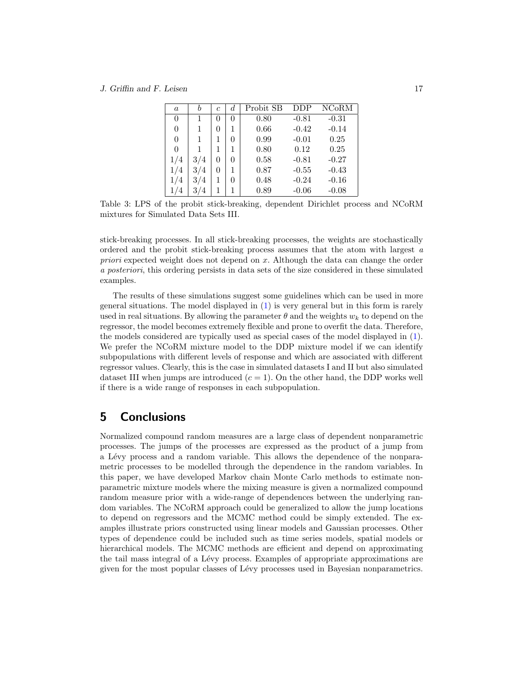| $\boldsymbol{a}$ |     | $\mathfrak c$ | d                | Probit SB | DDP     | NCoRM   |
|------------------|-----|---------------|------------------|-----------|---------|---------|
| 0                | 1   | 0             | $^{()}$          | 0.80      | $-0.81$ | $-0.31$ |
| 0                | 1   | 0             |                  | 0.66      | $-0.42$ | $-0.14$ |
| 0                | 1   | 1             | 0                | 0.99      | $-0.01$ | 0.25    |
| 0                |     | 1             |                  | 0.80      | 0.12    | 0.25    |
| 1/4              | 3/4 | 0             | $\left( \right)$ | 0.58      | $-0.81$ | $-0.27$ |
| 1/4              | 3/4 | 0             |                  | 0.87      | $-0.55$ | $-0.43$ |
| 1/4              | 3/4 |               | 0                | 0.48      | $-0.24$ | $-0.16$ |
| 1/4              | 3/4 |               |                  | 0.89      | $-0.06$ | $-0.08$ |

Table 3: LPS of the probit stick-breaking, dependent Dirichlet process and NCoRM mixtures for Simulated Data Sets III.

<span id="page-17-5"></span>stick-breaking processes. In all stick-breaking processes, the weights are stochastically ordered and the probit stick-breaking process assumes that the atom with largest  $a$ priori expected weight does not depend on x. Although the data can change the order a posteriori, this ordering persists in data sets of the size considered in these simulated examples.

<span id="page-17-8"></span><span id="page-17-2"></span>The results of these simulations suggest some guidelines which can be used in more general situations. The model displayed in [\(1\)](#page-0-2) is very general but in this form is rarely used in real situations. By allowing the parameter  $\theta$  and the weights  $w_k$  to depend on the regressor, the model becomes extremely flexible and prone to overfit the data. Therefore, the models considered are typically used as special cases of the model displayed in [\(1\)](#page-0-2). We prefer the NCoRM mixture model to the DDP mixture model if we can identify subpopulations with different levels of response and which are associated with different regressor values. Clearly, this is the case in simulated datasets I and II but also simulated dataset III when jumps are introduced  $(c = 1)$ . On the other hand, the DDP works well if there is a wide range of responses in each subpopulation.

# <span id="page-17-7"></span><span id="page-17-1"></span>5 Conclusions

<span id="page-17-9"></span><span id="page-17-6"></span><span id="page-17-4"></span><span id="page-17-3"></span><span id="page-17-0"></span>Normalized compound random measures are a large class of dependent nonparametric processes. The jumps of the processes are expressed as the product of a jump from a L´evy process and a random variable. This allows the dependence of the nonparametric processes to be modelled through the dependence in the random variables. In this paper, we have developed Markov chain Monte Carlo methods to estimate nonparametric mixture models where the mixing measure is given a normalized compound random measure prior with a wide-range of dependences between the underlying random variables. The NCoRM approach could be generalized to allow the jump locations to depend on regressors and the MCMC method could be simply extended. The examples illustrate priors constructed using linear models and Gaussian processes. Other types of dependence could be included such as time series models, spatial models or hierarchical models. The MCMC methods are efficient and depend on approximating the tail mass integral of a Lévy process. Examples of appropriate approximations are given for the most popular classes of L´evy processes used in Bayesian nonparametrics.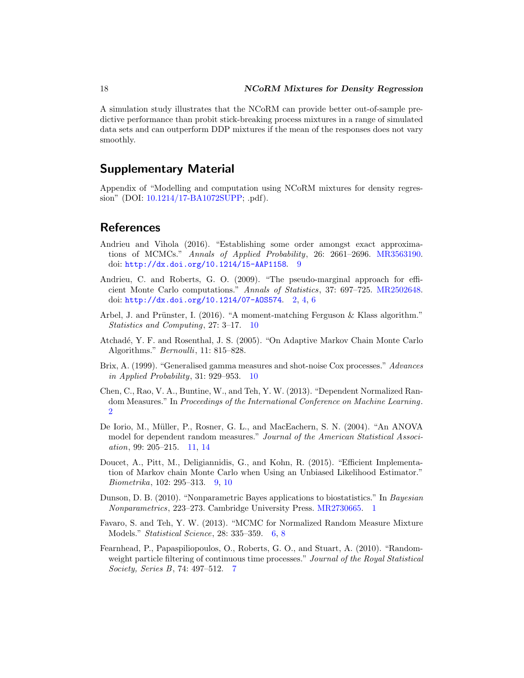<span id="page-18-0"></span>A simulation study illustrates that the NCoRM can provide better out-of-sample predictive performance than probit stick-breaking process mixtures in a range of simulated data sets and can outperform DDP mixtures if the mean of the responses does not vary smoothly.

# <span id="page-18-1"></span>Supplementary Material

<span id="page-18-2"></span>Appendix of "Modelling and computation using NCoRM mixtures for density regression" (DOI: [10.1214/17-BA1072SUPP;](http://dx.doi.org/10.1214/17-BA1072SUPP) .pdf).

### <span id="page-18-11"></span>**References**

- <span id="page-18-8"></span>Andrieu and Vihola (2016). "Establishing some order amongst exact approximations of MCMCs." Annals of Applied Probability, 26: 2661–2696. [MR3563190.](http://www.ams.org/mathscinet-getitem?mr=3563190) doi: <http://dx.doi.org/10.1214/15-AAP1158>. [9](#page-8-0)
- <span id="page-18-13"></span>Andrieu, C. and Roberts, G. O. (2009). "The pseudo-marginal approach for efficient Monte Carlo computations." Annals of Statistics, 37: 697–725. [MR2502648.](http://www.ams.org/mathscinet-getitem?mr=2502648) doi: <http://dx.doi.org/10.1214/07-AOS574>. [2,](#page-1-1) [4,](#page-3-0) [6](#page-5-0)
- Arbel, J. and Prünster, I. (2016). "A moment-matching Ferguson & Klass algorithm." Statistics and Computing, 27: 3–17. [10](#page-9-1)
- <span id="page-18-9"></span>Atchad´e, Y. F. and Rosenthal, J. S. (2005). "On Adaptive Markov Chain Monte Carlo Algorithms." *Bernoulli*, 11: 815–828.
- <span id="page-18-6"></span>Brix, A. (1999). "Generalised gamma measures and shot-noise Cox processes." Advances in Applied Probability, 31: 929–953. [10](#page-9-1)
- <span id="page-18-7"></span>Chen, C., Rao, V. A., Buntine, W., and Teh, Y. W. (2013). "Dependent Normalized Random Measures." In Proceedings of the International Conference on Machine Learning.  $\Omega$
- <span id="page-18-3"></span>De Iorio, M., M¨uller, P., Rosner, G. L., and MacEachern, S. N. (2004). "An ANOVA model for dependent random measures." Journal of the American Statistical Association, 99: 205–215. [11,](#page-10-0) [14](#page-13-2)
- <span id="page-18-5"></span><span id="page-18-4"></span>Doucet, A., Pitt, M., Deligiannidis, G., and Kohn, R. (2015). "Efficient Implementation of Markov chain Monte Carlo when Using an Unbiased Likelihood Estimator." Biometrika, 102: 295–313. [9,](#page-8-0) [10](#page-9-1)
- Dunson, D. B. (2010). "Nonparametric Bayes applications to biostatistics." In Bayesian Nonparametrics, 223–273. Cambridge University Press. [MR2730665.](http://www.ams.org/mathscinet-getitem?mr=2730665) [1](#page-0-3)
- <span id="page-18-10"></span>Favaro, S. and Teh, Y. W. (2013). "MCMC for Normalized Random Measure Mixture Models." Statistical Science, 28: 335–359. [6,](#page-5-0) [8](#page-7-3)
- <span id="page-18-12"></span>Fearnhead, P., Papaspiliopoulos, O., Roberts, G. O., and Stuart, A. (2010). "Randomweight particle filtering of continuous time processes." Journal of the Royal Statistical Society, Series B, 74: 497–512. [7](#page-6-3)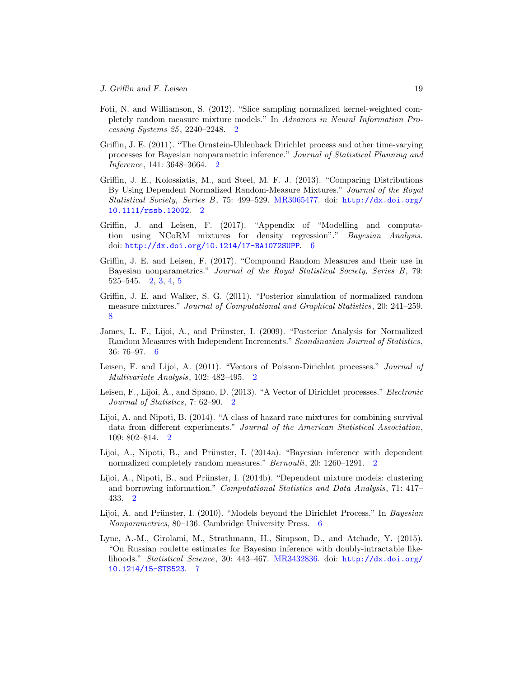- <span id="page-19-0"></span>Foti, N. and Williamson, S. (2012). "Slice sampling normalized kernel-weighted completely random measure mixture models." In Advances in Neural Information Processing Systems 25 , 2240–2248. [2](#page-1-1)
- <span id="page-19-9"></span>Griffin, J. E. (2011). "The Ornstein-Uhlenback Dirichlet process and other time-varying processes for Bayesian nonparametric inference." Journal of Statistical Planning and Inference, 141: 3648–3664. [2](#page-1-1)
- <span id="page-19-7"></span><span id="page-19-6"></span>Griffin, J. E., Kolossiatis, M., and Steel, M. F. J. (2013). "Comparing Distributions By Using Dependent Normalized Random-Measure Mixtures." Journal of the Royal Statistical Society, Series B, 75: 499–529. [MR3065477.](http://www.ams.org/mathscinet-getitem?mr=3065477) doi: [http://dx.doi.org/](http://dx.doi.org/10.1111/rssb.12002) [10.1111/rssb.12002](http://dx.doi.org/10.1111/rssb.12002). [2](#page-1-1)
- <span id="page-19-5"></span>Griffin, J. and Leisen, F. (2017). "Appendix of "Modelling and computation using NCoRM mixtures for density regression"." Bayesian Analysis. doi: <http://dx.doi.org/10.1214/17-BA1072SUPP>. [6](#page-5-0)
- <span id="page-19-2"></span>Griffin, J. E. and Leisen, F. (2017). "Compound Random Measures and their use in Bayesian nonparametrics." Journal of the Royal Statistical Society, Series B, 79: 525–545. [2,](#page-1-1) [3,](#page-2-1) [4,](#page-3-0) [5](#page-4-2)
- <span id="page-19-8"></span>Griffin, J. E. and Walker, S. G. (2011). "Posterior simulation of normalized random measure mixtures." Journal of Computational and Graphical Statistics, 20: 241–259. [8](#page-7-3)
- <span id="page-19-11"></span><span id="page-19-1"></span>James, L. F., Lijoi, A., and Prünster, I. (2009). "Posterior Analysis for Normalized Random Measures with Independent Increments." Scandinavian Journal of Statistics, 36: 76–97. [6](#page-5-0)
- <span id="page-19-10"></span>Leisen, F. and Lijoi, A. (2011). "Vectors of Poisson-Dirichlet processes." Journal of Multivariate Analysis, 102: 482–495. [2](#page-1-1)
- Leisen, F., Lijoi, A., and Spano, D. (2013). "A Vector of Dirichlet processes." Electronic Journal of Statistics, 7: 62–90. [2](#page-1-1)
- <span id="page-19-4"></span>Lijoi, A. and Nipoti, B. (2014). "A class of hazard rate mixtures for combining survival data from different experiments." Journal of the American Statistical Association, 109: 802–814. [2](#page-1-1)
- Lijoi, A., Nipoti, B., and Prünster, I. (2014a). "Bayesian inference with dependent normalized completely random measures." Bernoulli, 20: 1260–1291. [2](#page-1-1)
- <span id="page-19-3"></span>Lijoi, A., Nipoti, B., and Prünster, I. (2014b). "Dependent mixture models: clustering and borrowing information." Computational Statistics and Data Analysis, 71: 417– 433. [2](#page-1-1)
- Lijoi, A. and Prünster, I. (2010). "Models beyond the Dirichlet Process." In Bayesian Nonparametrics, 80–136. Cambridge University Press. [6](#page-5-0)
- Lyne, A.-M., Girolami, M., Strathmann, H., Simpson, D., and Atchade, Y. (2015). "On Russian roulette estimates for Bayesian inference with doubly-intractable likelihoods." Statistical Science, 30: 443–467. [MR3432836.](http://www.ams.org/mathscinet-getitem?mr=3432836) doi: [http://dx.doi.org/](http://dx.doi.org/10.1214/15-STS523) [10.1214/15-STS523](http://dx.doi.org/10.1214/15-STS523). [7](#page-6-3)